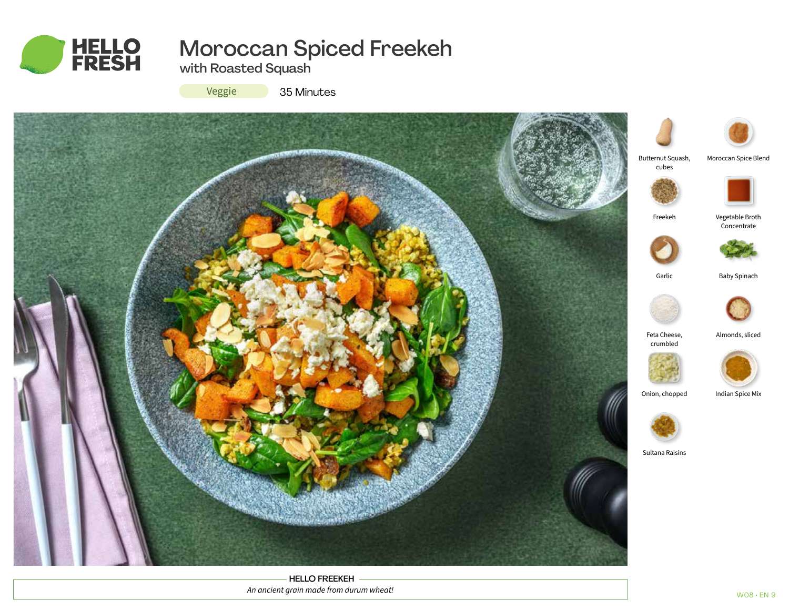

# Moroccan Spiced Freekeh

with Roasted Squash

Veggie

35 Minutes



HELLO FREEKEH *An ancient grain made from durum wheat!*